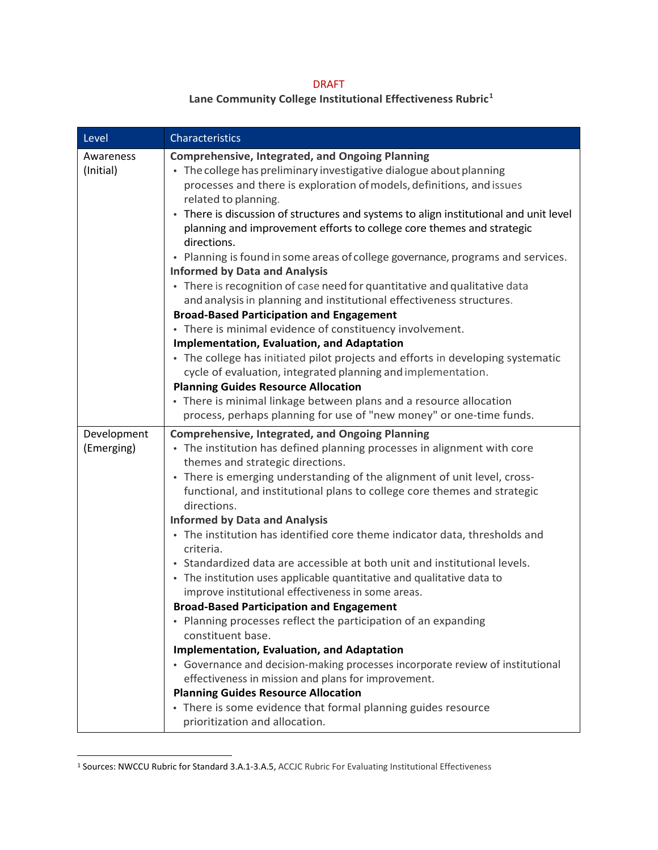## DRAFT

## **Lane Community College Institutional Effectiveness Rubric1**

| Level                     | <b>Characteristics</b>                                                                                                                                                                                                                                                                                                                                                                                                                                                                                                                                                                                                                                                                                                                                                                                                                                                                                                                                                                                                                                                                                                                                                                |
|---------------------------|---------------------------------------------------------------------------------------------------------------------------------------------------------------------------------------------------------------------------------------------------------------------------------------------------------------------------------------------------------------------------------------------------------------------------------------------------------------------------------------------------------------------------------------------------------------------------------------------------------------------------------------------------------------------------------------------------------------------------------------------------------------------------------------------------------------------------------------------------------------------------------------------------------------------------------------------------------------------------------------------------------------------------------------------------------------------------------------------------------------------------------------------------------------------------------------|
| Awareness<br>(Initial)    | <b>Comprehensive, Integrated, and Ongoing Planning</b><br>• The college has preliminary investigative dialogue about planning<br>processes and there is exploration of models, definitions, and issues<br>related to planning.<br>• There is discussion of structures and systems to align institutional and unit level<br>planning and improvement efforts to college core themes and strategic<br>directions.<br>• Planning is found in some areas of college governance, programs and services.<br><b>Informed by Data and Analysis</b><br>• There is recognition of case need for quantitative and qualitative data<br>and analysis in planning and institutional effectiveness structures.<br><b>Broad-Based Participation and Engagement</b><br>• There is minimal evidence of constituency involvement.<br><b>Implementation, Evaluation, and Adaptation</b><br>• The college has initiated pilot projects and efforts in developing systematic<br>cycle of evaluation, integrated planning and implementation.<br><b>Planning Guides Resource Allocation</b><br>• There is minimal linkage between plans and a resource allocation                                            |
|                           | process, perhaps planning for use of "new money" or one-time funds.                                                                                                                                                                                                                                                                                                                                                                                                                                                                                                                                                                                                                                                                                                                                                                                                                                                                                                                                                                                                                                                                                                                   |
| Development<br>(Emerging) | <b>Comprehensive, Integrated, and Ongoing Planning</b><br>• The institution has defined planning processes in alignment with core<br>themes and strategic directions.<br>• There is emerging understanding of the alignment of unit level, cross-<br>functional, and institutional plans to college core themes and strategic<br>directions.<br><b>Informed by Data and Analysis</b><br>• The institution has identified core theme indicator data, thresholds and<br>criteria.<br>• Standardized data are accessible at both unit and institutional levels.<br>• The institution uses applicable quantitative and qualitative data to<br>improve institutional effectiveness in some areas.<br><b>Broad-Based Participation and Engagement</b><br>• Planning processes reflect the participation of an expanding<br>constituent base.<br><b>Implementation, Evaluation, and Adaptation</b><br>• Governance and decision-making processes incorporate review of institutional<br>effectiveness in mission and plans for improvement.<br><b>Planning Guides Resource Allocation</b><br>• There is some evidence that formal planning guides resource<br>prioritization and allocation. |

<sup>1</sup> Sources: NWCCU Rubric for Standard 3.A.1-3.A.5, ACCJC Rubric For Evaluating Institutional Effectiveness

 $\ddot{ }$